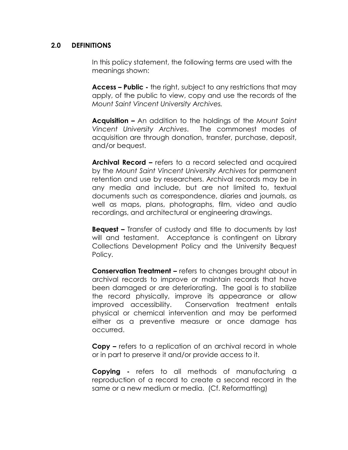## 2.0 DEFINITIONS

 In this policy statement, the following terms are used with the meanings shown:

Access – Public - the right, subject to any restrictions that may apply, of the public to view, copy and use the records of the Mount Saint Vincent University Archives.

**Acquisition –** An addition to the holdings of the Mount Saint Vincent University Archives. The commonest modes of acquisition are through donation, transfer, purchase, deposit, and/or bequest.

Archival Record – refers to a record selected and acquired by the Mount Saint Vincent University Archives for permanent retention and use by researchers. Archival records may be in any media and include, but are not limited to, textual documents such as correspondence, diaries and journals, as well as maps, plans, photographs, film, video and audio recordings, and architectural or engineering drawings.

**Bequest –** Transfer of custody and title to documents by last will and testament. Acceptance is contingent on Library Collections Development Policy and the University Bequest Policy.

**Conservation Treatment – refers to changes brought about in** archival records to improve or maintain records that have been damaged or are deteriorating. The goal is to stabilize the record physically, improve its appearance or allow improved accessibility. Conservation treatment entails physical or chemical intervention and may be performed either as a preventive measure or once damage has occurred.

Copy – refers to a replication of an archival record in whole or in part to preserve it and/or provide access to it.

**Copying** - refers to all methods of manufacturing a reproduction of a record to create a second record in the same or a new medium or media. (Cf. Reformatting)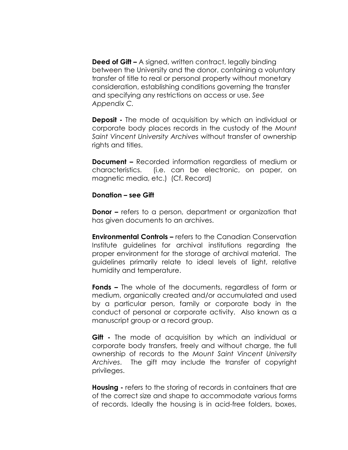**Deed of Gift –** A signed, written contract, legally binding between the University and the donor, containing a voluntary transfer of title to real or personal property without monetary consideration, establishing conditions governing the transfer and specifying any restrictions on access or use. See Appendix C.

**Deposit** - The mode of acquisition by which an individual or corporate body places records in the custody of the Mount Saint Vincent University Archives without transfer of ownership rights and titles.

**Document –** Recorded information regardless of medium or characteristics. (i.e. can be electronic, on paper, on magnetic media, etc.) (Cf. Record)

## Donation – see Gift

**Donor –** refers to a person, department or organization that has given documents to an archives.

**Environmental Controls –** refers to the Canadian Conservation Institute guidelines for archival institutions regarding the proper environment for the storage of archival material. The guidelines primarily relate to ideal levels of light, relative humidity and temperature.

**Fonds –** The whole of the documents, regardless of form or medium, organically created and/or accumulated and used by a particular person, family or corporate body in the conduct of personal or corporate activity. Also known as a manuscript group or a record group.

**Gift -** The mode of acquisition by which an individual or corporate body transfers, freely and without charge, the full ownership of records to the Mount Saint Vincent University Archives. The gift may include the transfer of copyright privileges.

**Housing** - refers to the storing of records in containers that are of the correct size and shape to accommodate various forms of records. Ideally the housing is in acid-free folders, boxes,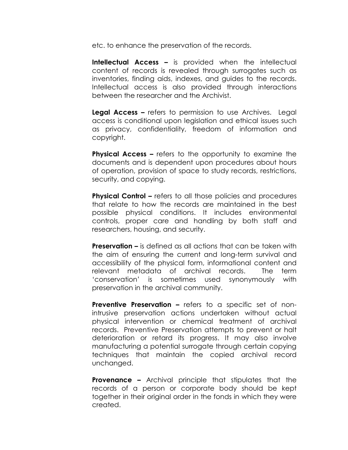etc. to enhance the preservation of the records.

Intellectual Access - is provided when the intellectual content of records is revealed through surrogates such as inventories, finding aids, indexes, and guides to the records. Intellectual access is also provided through interactions between the researcher and the Archivist.

Legal Access – refers to permission to use Archives. Legal access is conditional upon legislation and ethical issues such as privacy, confidentiality, freedom of information and copyright.

**Physical Access –** refers to the opportunity to examine the documents and is dependent upon procedures about hours of operation, provision of space to study records, restrictions, security, and copying.

**Physical Control – refers to all those policies and procedures** that relate to how the records are maintained in the best possible physical conditions. It includes environmental controls, proper care and handling by both staff and researchers, housing, and security.

**Preservation –** is defined as all actions that can be taken with the aim of ensuring the current and long-term survival and accessibility of the physical form, informational content and relevant metadata of archival records. The term 'conservation' is sometimes used synonymously with preservation in the archival community.

**Preventive Preservation –** refers to a specific set of nonintrusive preservation actions undertaken without actual physical intervention or chemical treatment of archival records. Preventive Preservation attempts to prevent or halt deterioration or retard its progress. It may also involve manufacturing a potential surrogate through certain copying techniques that maintain the copied archival record unchanged.

**Provenance –** Archival principle that stipulates that the records of a person or corporate body should be kept together in their original order in the fonds in which they were created.